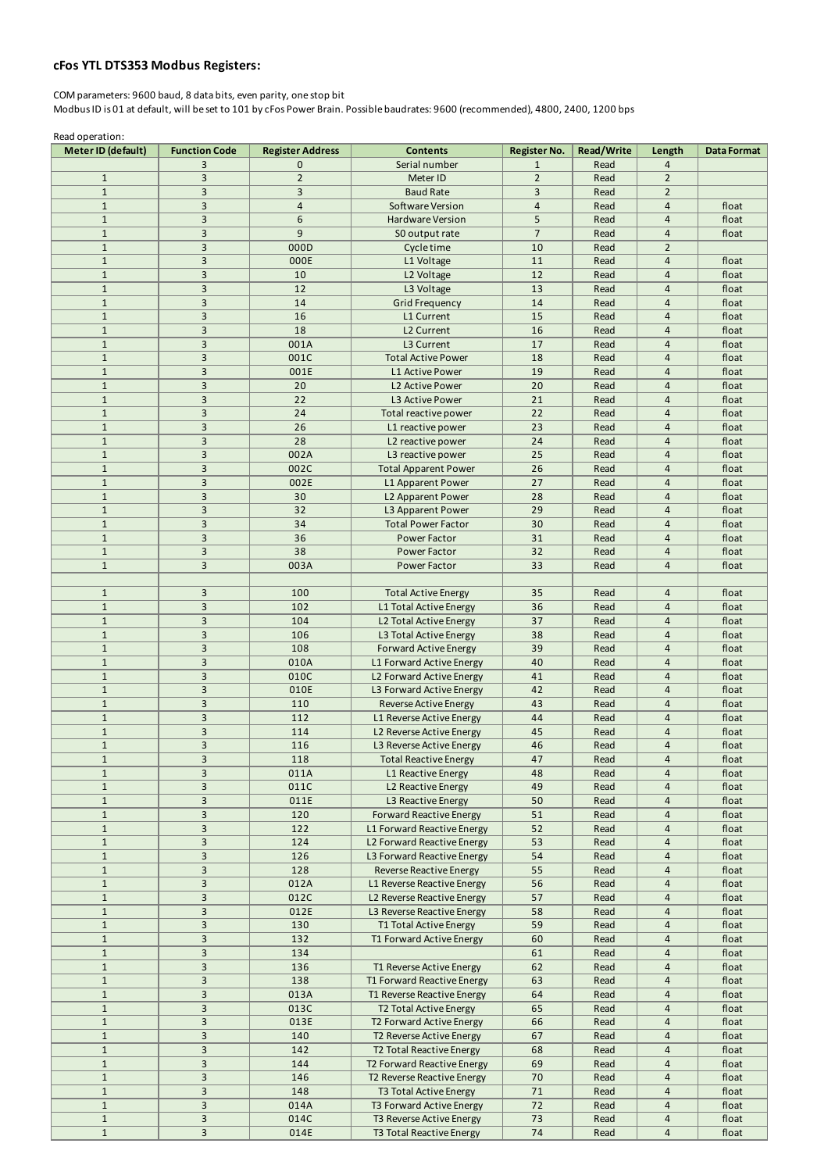## **cFos YTL DTS353 Modbus Registers:**

COM parameters: 9600 baud, 8 data bits, even parity, one stop bit Modbus ID is 01 at default, will be set to 101 by cFos Power Brain. Possible baudrates: 9600 (recommended), 4800, 2400, 1200 bps

Read operation:

| Meter ID (default)           | <b>Function Code</b>             | <b>Register Address</b> | <b>Contents</b>                                          | <b>Register No.</b> | <b>Read/Write</b> | Length                           | <b>Data Format</b> |
|------------------------------|----------------------------------|-------------------------|----------------------------------------------------------|---------------------|-------------------|----------------------------------|--------------------|
|                              | 3                                | 0                       | Serial number                                            | $\mathbf{1}$        | Read              | $\overline{4}$                   |                    |
| $\mathbf{1}$                 | 3                                | $\overline{2}$          | Meter ID                                                 | $\overline{2}$      | Read              | $\overline{2}$                   |                    |
| $\mathbf{1}$                 | $\overline{3}$                   | 3                       | <b>Baud Rate</b>                                         | 3                   | Read              | $\overline{2}$                   |                    |
| $\mathbf{1}$                 | $\overline{3}$                   | $\overline{4}$          | Software Version                                         | $\overline{4}$      | Read              | $\overline{4}$                   | float              |
| $\mathbf{1}$                 | 3                                | 6                       | Hardware Version                                         | 5                   | Read              | $\overline{4}$                   | float              |
| $\mathbf{1}$                 | $\overline{3}$                   | 9                       | SO output rate                                           | $\overline{7}$      | Read              | $\overline{4}$                   | float              |
| $\mathbf{1}$                 | 3                                | 000D                    | Cycle time                                               | 10                  | Read              | $\overline{2}$                   |                    |
| $\mathbf{1}$                 | $\mathsf{3}$<br>$\overline{3}$   | 000E                    | L1 Voltage                                               | 11                  | Read              | $\overline{4}$<br>$\overline{4}$ | float              |
| $\mathbf{1}$<br>$\mathbf{1}$ | $\overline{3}$                   | 10<br>12                | L2 Voltage                                               | 12<br>13            | Read<br>Read      | $\overline{4}$                   | float<br>float     |
| $\mathbf{1}$                 | 3                                | 14                      | L3 Voltage<br><b>Grid Frequency</b>                      | 14                  | Read              | $\overline{4}$                   | float              |
| $\mathbf{1}$                 | $\overline{3}$                   | 16                      | L1 Current                                               | 15                  | Read              | $\overline{4}$                   | float              |
| $\mathbf{1}$                 | $\overline{3}$                   | 18                      | L2 Current                                               | 16                  | Read              | $\overline{4}$                   | float              |
| $\mathbf{1}$                 | 3                                | 001A                    | L3 Current                                               | 17                  | Read              | $\overline{4}$                   | float              |
| $\mathbf{1}$                 | $\overline{3}$                   | 001C                    | <b>Total Active Power</b>                                | 18                  | Read              | $\overline{4}$                   | float              |
| $\mathbf{1}$                 | $\overline{3}$                   | 001E                    | L1 Active Power                                          | 19                  | Read              | $\overline{4}$                   | float              |
| $\mathbf{1}$                 | 3                                | 20                      | L2 Active Power                                          | 20                  | Read              | $\overline{4}$                   | float              |
| $\mathbf{1}$                 | $\overline{3}$                   | 22                      | L3 Active Power                                          | 21                  | Read              | $\overline{4}$                   | float              |
| $\mathbf{1}$                 | $\overline{3}$                   | 24                      | Total reactive power                                     | 22                  | Read              | $\overline{4}$                   | float              |
| $\mathbf{1}$                 | $\overline{3}$                   | 26                      | L1 reactive power                                        | 23                  | Read              | $\overline{4}$                   | float              |
| $\mathbf{1}$                 | $\overline{3}$                   | 28                      | L2 reactive power                                        | 24                  | Read              | $\overline{4}$                   | float              |
| $\mathbf{1}$                 | $\overline{3}$                   | 002A                    | L3 reactive power                                        | 25                  | Read              | $\overline{4}$                   | float              |
| $\mathbf{1}$                 | $\mathsf{3}$                     | 002C                    | <b>Total Apparent Power</b>                              | 26                  | Read              | $\overline{4}$                   | float              |
| $\mathbf{1}$                 | $\overline{\mathbf{3}}$          | 002E                    | L1 Apparent Power                                        | 27                  | Read              | $\overline{4}$                   | float              |
| $\mathbf{1}$                 | $\overline{3}$<br>$\overline{3}$ | 30                      | L2 Apparent Power                                        | 28                  | Read              | $\overline{4}$                   | float              |
| $\mathbf{1}$<br>$\mathbf{1}$ | $\overline{3}$                   | 32<br>34                | L3 Apparent Power<br><b>Total Power Factor</b>           | 29<br>30            | Read<br>Read      | $\overline{4}$<br>$\overline{4}$ | float<br>float     |
| $\mathbf{1}$                 | $\overline{3}$                   | 36                      | Power Factor                                             | 31                  | Read              | $\overline{4}$                   | float              |
| $\mathbf{1}$                 | $\overline{3}$                   | 38                      | Power Factor                                             | 32                  | Read              | $\overline{4}$                   | float              |
| $\mathbf{1}$                 | $\overline{3}$                   | 003A                    | Power Factor                                             | 33                  | Read              | $\overline{4}$                   | float              |
|                              |                                  |                         |                                                          |                     |                   |                                  |                    |
| $\mathbf{1}$                 | $\overline{3}$                   | 100                     | <b>Total Active Energy</b>                               | 35                  | Read              | $\overline{4}$                   | float              |
| $\mathbf{1}$                 | $\overline{3}$                   | 102                     | L1 Total Active Energy                                   | 36                  | Read              | $\overline{4}$                   | float              |
| $\mathbf{1}$                 | 3                                | 104                     | L2 Total Active Energy                                   | 37                  | Read              | $\overline{4}$                   | float              |
| $\mathbf{1}$                 | $\overline{3}$                   | 106                     | L3 Total Active Energy                                   | 38                  | Read              | $\overline{4}$                   | float              |
| $\mathbf{1}$                 | $\overline{3}$                   | 108                     | <b>Forward Active Energy</b>                             | 39                  | Read              | $\overline{4}$                   | float              |
| $\mathbf{1}$                 | 3                                | 010A                    | L1 Forward Active Energy                                 | 40                  | Read              | $\overline{4}$                   | float              |
| $\mathbf{1}$                 | $\overline{3}$                   | 010C                    | L2 Forward Active Energy                                 | 41                  | Read              | $\overline{4}$                   | float              |
| $\mathbf{1}$                 | 3                                | 010E                    | L3 Forward Active Energy                                 | 42                  | Read              | $\overline{4}$                   | float              |
| $\mathbf{1}$                 | $\mathsf{3}$                     | 110                     | Reverse Active Energy                                    | 43                  | Read              | $\overline{4}$                   | float              |
| $\mathbf{1}$                 | $\overline{3}$                   | 112                     | L1 Reverse Active Energy                                 | 44                  | Read              | $\overline{4}$                   | float              |
| $\mathbf{1}$<br>$\mathbf{1}$ | $\overline{3}$<br>3              | 114                     | L2 Reverse Active Energy                                 | 45                  | Read              | $\overline{4}$<br>$\overline{4}$ | float              |
| $\mathbf{1}$                 | $\overline{3}$                   | 116<br>118              | L3 Reverse Active Energy<br><b>Total Reactive Energy</b> | 46<br>47            | Read<br>Read      | $\overline{4}$                   | float<br>float     |
| $\mathbf{1}$                 | 3                                | 011A                    | L1 Reactive Energy                                       | 48                  | Read              | $\overline{4}$                   | float              |
| $\mathbf{1}$                 | 3                                | 011C                    | L2 Reactive Energy                                       | 49                  | Read              | $\overline{4}$                   | float              |
| $\mathbf{1}$                 | $\overline{3}$                   | 011E                    | L3 Reactive Energy                                       | 50                  | Read              | $\overline{4}$                   | float              |
| $\mathbf{1}$                 | $\overline{3}$                   | 120                     | <b>Forward Reactive Energy</b>                           | 51                  | Read              | $\overline{4}$                   | float              |
| $\mathbf{1}$                 | 3                                | 122                     | L1 Forward Reactive Energy                               | 52                  | Read              | $\overline{4}$                   | float              |
| $\mathbf{1}$                 | 3                                | 124                     | L2 Forward Reactive Energy                               | 53                  | Read              | $\overline{4}$                   | float              |
| $\mathbf{1}$                 | $\overline{3}$                   | 126                     | L3 Forward Reactive Energy                               | 54                  | Read              | $\overline{4}$                   | float              |
| $\mathbf{1}$                 | 3                                | 128                     | Reverse Reactive Energy                                  | 55                  | Read              | $\overline{4}$                   | float              |
| $\mathbf{1}$                 | 3                                | 012A                    | L1 Reverse Reactive Energy                               | 56                  | Read              | $\overline{4}$                   | float              |
| $\mathbf{1}$                 | $\overline{3}$                   | 012C                    | L2 Reverse Reactive Energy                               | 57                  | Read              | $\overline{4}$                   | float              |
| $\mathbf{1}$                 | 3                                | 012E                    | L3 Reverse Reactive Energy                               | 58                  | Read              | $\overline{4}$                   | float              |
| $\mathbf{1}$                 | 3                                | 130                     | T1 Total Active Energy                                   | 59                  | Read              | $\overline{4}$                   | float              |
| $\mathbf{1}$<br>$\mathbf{1}$ | 3<br>3                           | 132                     | T1 Forward Active Energy                                 | 60<br>61            | Read<br>Read      | $\overline{4}$<br>$\overline{4}$ | float              |
| $\mathbf{1}$                 | 3                                | 134<br>136              | T1 Reverse Active Energy                                 | 62                  | Read              | $\overline{4}$                   | float<br>float     |
| $\mathbf{1}$                 | $\overline{3}$                   | 138                     | T1 Forward Reactive Energy                               | 63                  | Read              | $\overline{4}$                   | float              |
| $\mathbf{1}$                 | 3                                | 013A                    | T1 Reverse Reactive Energy                               | 64                  | Read              | $\overline{4}$                   | float              |
| $\mathbf{1}$                 | 3                                | 013C                    | T2 Total Active Energy                                   | 65                  | Read              | $\overline{4}$                   | float              |
| $\mathbf{1}$                 | $\overline{3}$                   | 013E                    | T2 Forward Active Energy                                 | 66                  | Read              | $\overline{4}$                   | float              |
| $\mathbf{1}$                 | $\overline{3}$                   | 140                     | T2 Reverse Active Energy                                 | 67                  | Read              | $\overline{4}$                   | float              |
| $\mathbf{1}$                 | 3                                | 142                     | T2 Total Reactive Energy                                 | 68                  | Read              | $\overline{4}$                   | float              |
| $\mathbf{1}$                 | 3                                | 144                     | T2 Forward Reactive Energy                               | 69                  | Read              | $\overline{4}$                   | float              |
| $\mathbf{1}$                 | $\overline{3}$                   | 146                     | T2 Reverse Reactive Energy                               | 70                  | Read              | $\overline{4}$                   | float              |
| $\mathbf{1}$                 | 3                                | 148                     | T3 Total Active Energy                                   | 71                  | Read              | $\overline{4}$                   | float              |
| $\mathbf{1}$                 | 3                                | 014A                    | T3 Forward Active Energy                                 | 72                  | Read              | $\overline{4}$                   | float              |
| $\mathbf{1}$                 | $\overline{3}$                   | 014C                    | T3 Reverse Active Energy                                 | 73                  | Read              | 4                                | float              |
| $\mathbf{1}$                 | $\overline{\mathbf{3}}$          | 014E                    | T3 Total Reactive Energy                                 | $74\,$              | Read              | $\overline{4}$                   | float              |